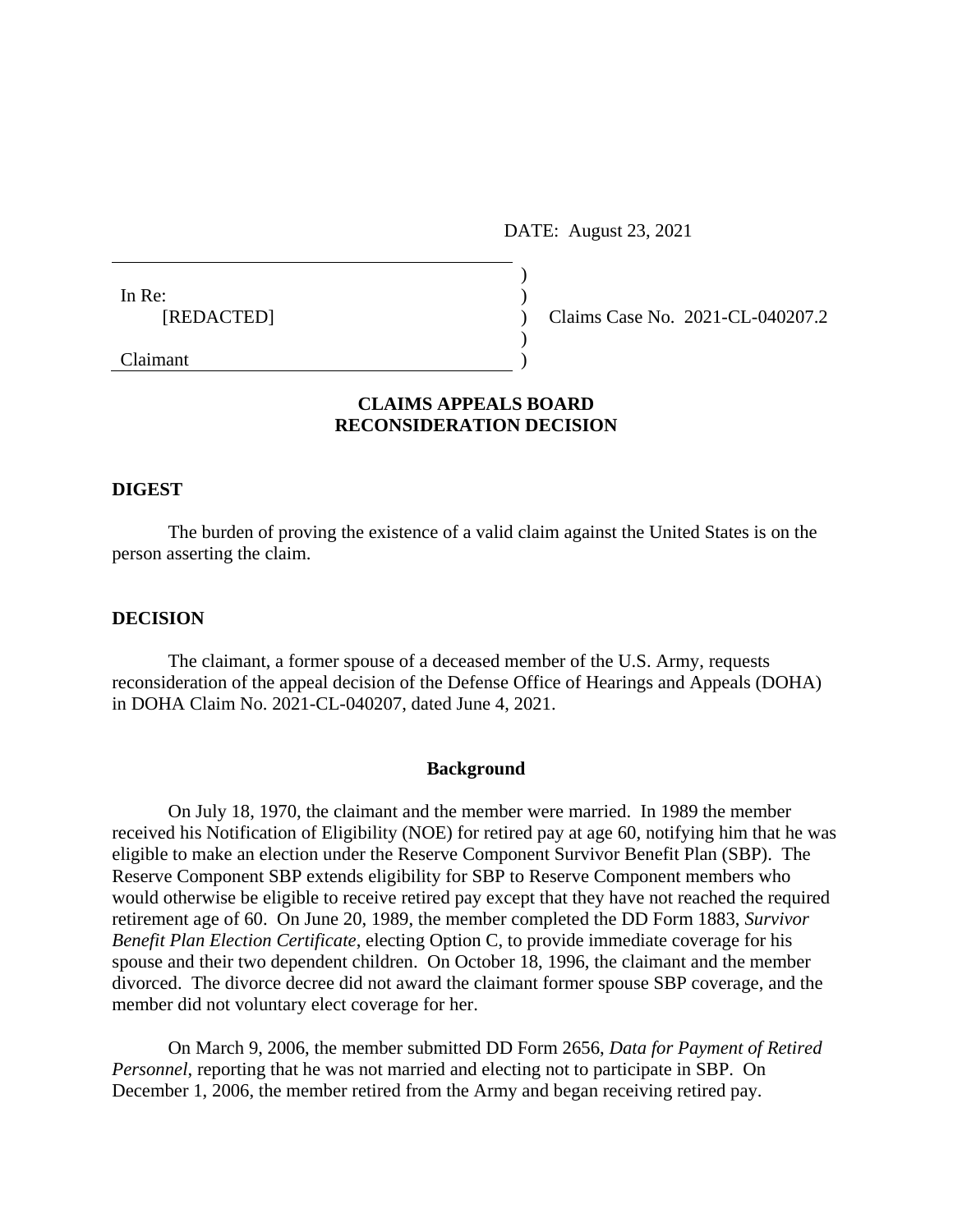DATE: August 23, 2021

| In Re:        |               |
|---------------|---------------|
| [REDACTED]    | Claims Case N |
|               |               |
| $C_{laimont}$ |               |

No. 2021-CL-040207.2

Claimant )

# **CLAIMS APPEALS BOARD RECONSIDERATION DECISION**

### **DIGEST**

The burden of proving the existence of a valid claim against the United States is on the person asserting the claim.

## **DECISION**

The claimant, a former spouse of a deceased member of the U.S. Army, requests reconsideration of the appeal decision of the Defense Office of Hearings and Appeals (DOHA) in DOHA Claim No. 2021-CL-040207, dated June 4, 2021.

### **Background**

On July 18, 1970, the claimant and the member were married. In 1989 the member received his Notification of Eligibility (NOE) for retired pay at age 60, notifying him that he was eligible to make an election under the Reserve Component Survivor Benefit Plan (SBP). The Reserve Component SBP extends eligibility for SBP to Reserve Component members who would otherwise be eligible to receive retired pay except that they have not reached the required retirement age of 60. On June 20, 1989, the member completed the DD Form 1883, *Survivor Benefit Plan Election Certificate*, electing Option C, to provide immediate coverage for his spouse and their two dependent children. On October 18, 1996, the claimant and the member divorced. The divorce decree did not award the claimant former spouse SBP coverage, and the member did not voluntary elect coverage for her.

On March 9, 2006, the member submitted DD Form 2656, *Data for Payment of Retired Personnel*, reporting that he was not married and electing not to participate in SBP. On December 1, 2006, the member retired from the Army and began receiving retired pay.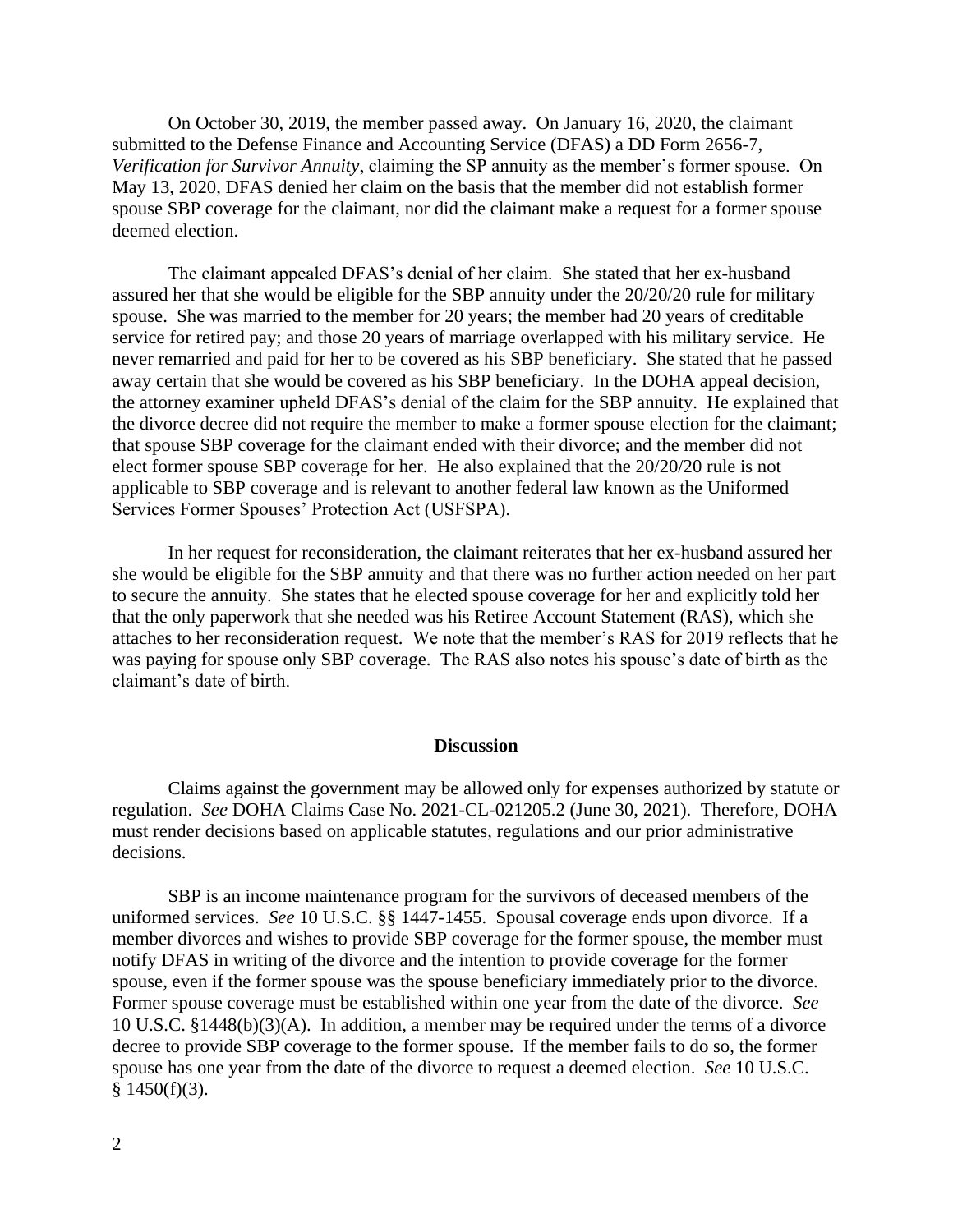On October 30, 2019, the member passed away. On January 16, 2020, the claimant submitted to the Defense Finance and Accounting Service (DFAS) a DD Form 2656-7, *Verification for Survivor Annuity*, claiming the SP annuity as the member's former spouse. On May 13, 2020, DFAS denied her claim on the basis that the member did not establish former spouse SBP coverage for the claimant, nor did the claimant make a request for a former spouse deemed election.

The claimant appealed DFAS's denial of her claim. She stated that her ex-husband assured her that she would be eligible for the SBP annuity under the 20/20/20 rule for military spouse. She was married to the member for 20 years; the member had 20 years of creditable service for retired pay; and those 20 years of marriage overlapped with his military service. He never remarried and paid for her to be covered as his SBP beneficiary. She stated that he passed away certain that she would be covered as his SBP beneficiary. In the DOHA appeal decision, the attorney examiner upheld DFAS's denial of the claim for the SBP annuity. He explained that the divorce decree did not require the member to make a former spouse election for the claimant; that spouse SBP coverage for the claimant ended with their divorce; and the member did not elect former spouse SBP coverage for her. He also explained that the 20/20/20 rule is not applicable to SBP coverage and is relevant to another federal law known as the Uniformed Services Former Spouses' Protection Act (USFSPA).

In her request for reconsideration, the claimant reiterates that her ex-husband assured her she would be eligible for the SBP annuity and that there was no further action needed on her part to secure the annuity. She states that he elected spouse coverage for her and explicitly told her that the only paperwork that she needed was his Retiree Account Statement (RAS), which she attaches to her reconsideration request. We note that the member's RAS for 2019 reflects that he was paying for spouse only SBP coverage. The RAS also notes his spouse's date of birth as the claimant's date of birth.

#### **Discussion**

Claims against the government may be allowed only for expenses authorized by statute or regulation. *See* DOHA Claims Case No. 2021-CL-021205.2 (June 30, 2021). Therefore, DOHA must render decisions based on applicable statutes, regulations and our prior administrative decisions.

SBP is an income maintenance program for the survivors of deceased members of the uniformed services. *See* 10 U.S.C. §§ 1447-1455. Spousal coverage ends upon divorce. If a member divorces and wishes to provide SBP coverage for the former spouse, the member must notify DFAS in writing of the divorce and the intention to provide coverage for the former spouse, even if the former spouse was the spouse beneficiary immediately prior to the divorce. Former spouse coverage must be established within one year from the date of the divorce. *See*  10 U.S.C. §1448(b)(3)(A). In addition, a member may be required under the terms of a divorce decree to provide SBP coverage to the former spouse. If the member fails to do so, the former spouse has one year from the date of the divorce to request a deemed election. *See* 10 U.S.C.  $§$  1450(f)(3).